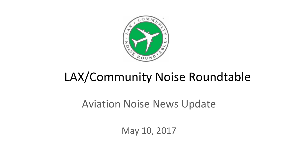

# LAX/Community Noise Roundtable

### Aviation Noise News Update

May 10, 2017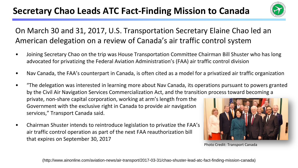### **Secretary Chao Leads ATC Fact-Finding Mission to Canada**



#### On March 30 and 31, 2017, U.S. Transportation Secretary Elaine Chao led an American delegation on a review of Canada's air traffic control system

- Joining Secretary Chao on the trip was House Transportation Committee Chairman Bill Shuster who has long advocated for privatizing the Federal Aviation Administration's (FAA) air traffic control division
- Nav Canada, the FAA's counterpart in Canada, is often cited as a model for a privatized air traffic organization
- "The delegation was interested in learning more about Nav Canada, its operations pursuant to powers granted by the Civil Air Navigation Services Commercialization Act, and the transition process toward becoming a private, non-share capital corporation, working at arm's length from the Government with the exclusive right in Canada to provide air navigation

services," Transport Canada said.

• Chairman Shuster intends to reintroduce legislation to privatize the FAA's air traffic control operation as part of the next FAA reauthorization bill that expires on September 30, 2017



Photo Credit: Transport Canada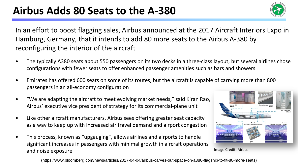

In an effort to boost flagging sales, Airbus announced at the 2017 Aircraft Interiors Expo in Hamburg, Germany, that it intends to add 80 more seats to the Airbus A-380 by reconfiguring the interior of the aircraft

- The typically A380 seats about 550 passengers on its two decks in a three-class layout, but several airlines chose configurations with fewer seats to offer enhanced passenger amenities such as bars and showers
- Emirates has offered 600 seats on some of its routes, but the aircraft is capable of carrying more than 800 passengers in an all-economy configuration
- "We are adapting the aircraft to meet evolving market needs," said Kiran Rao, Airbus' executive vice president of strategy for its commercial-plane unit
- Like other aircraft manufacturers, Airbus sees offering greater seat capacity as a way to keep up with increased air travel demand and airport congestion
- This process, known as "upgauging", allows airlines and airports to handle significant increases in passengers with minimal growth in aircraft operations and noise exposure



Image Credit: Airbus

(https://www.bloomberg.com/news/articles/2017-04-04/airbus-carves-out-space-on-a380-flagship-to-fit-80-more-seats)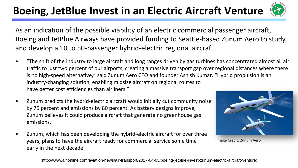## **Boeing, JetBlue Invest in an Electric Aircraft Venture**



As an indication of the possible viability of an electric commercial passenger aircraft, Boeing and JetBlue Airways have provided funding to Seattle-based Zunum Aero to study and develop a 10 to 50-passenger hybrid-electric regional aircraft

- "The shift of the industry to large aircraft and long ranges driven by gas turbines has concentrated almost all air traffic to just two percent of our airports, creating a massive transport gap over regional distances where there is no high-speed alternative," said Zunum Aero CEO and founder Ashish Kumar. "Hybrid propulsion is an industry-changing solution, enabling midsize aircraft on regional routes to have better cost efficiencies than airliners."
- Zunum predicts the hybrid-electric aircraft would initially cut community noise by 75 percent and emissions by 80 percent. As battery designs improve, Zunum believes it could produce aircraft that generate no greenhouse gas emissions.
- Zunum, which has been developing the hybrid-electric aircraft for over three years, plans to have the aircraft ready for commercial service some time early in the next decade



Image Credit: Zunum Aero

(http://www.ainonline.com/aviation-news/air-transport/2017-04-05/boeing-jetblue-invest-zunum-electric-aircraft-venture)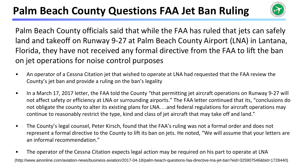## **Palm Beach County Questions FAA Jet Ban Ruling**



Palm Beach County officials said that while the FAA has ruled that jets can safely land and takeoff on Runway 9-27 at Palm Beach County Airport (LNA) in Lantana, Florida, they have not received any formal directive from the FAA to lift the ban on jet operations for noise control purposes

- An operator of a Cessna Citation jet that wished to operate at LNA had requested that the FAA review the County's jet ban and provide a ruling on the ban's legality
- In a March 17, 2017 letter, the FAA told the County "that permitting jet aircraft operations on Runway 9-27 will not affect safety or efficiency at LNA or surrounding airports." The FAA letter continued that its, "conclusions do not obligate the county to alter its existing plans for LNA. . .and federal regulations for aircraft operations may continue to reasonably restrict the type, kind and class of jet aircraft that may take off and land."
- The County's legal counsel, Peter Kirsch, found that the FAA's ruling was not a formal order and does not represent a formal directive to the County to lift its ban on jets. He noted, "We will assume that your letters are an informal recommendation."
- The operator of the Cessna Citation expects legal action may be required on his part to operate at LNA (http://www.ainonline.com/aviation-news/business-aviation/2017-04-18/palm-beach-questions-faa-directive-lna-jet-ban?eid=325907546&bid=1728440)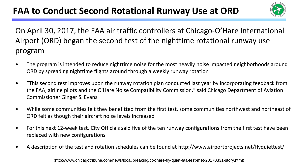

On April 30, 2017, the FAA air traffic controllers at Chicago-O'Hare International Airport (ORD) began the second test of the nighttime rotational runway use program

- The program is intended to reduce nighttime noise for the most heavily noise impacted neighborhoods around ORD by spreading nighttime flights around through a weekly runway rotation
- "This second test improves upon the runway rotation plan conducted last year by incorporating feedback from the FAA, airline pilots and the O'Hare Noise Compatibility Commission," said Chicago Department of Aviation Commissioner Ginger S. Evans
- While some communities felt they benefitted from the first test, some communities northwest and northeast of ORD felt as though their aircraft noise levels increased
- For this next 12-week test, City Officials said five of the ten runway configurations from the first test have been replaced with new configurations
- A description of the test and rotation schedules can be found at http://www.airportprojects.net/flyquiettest/